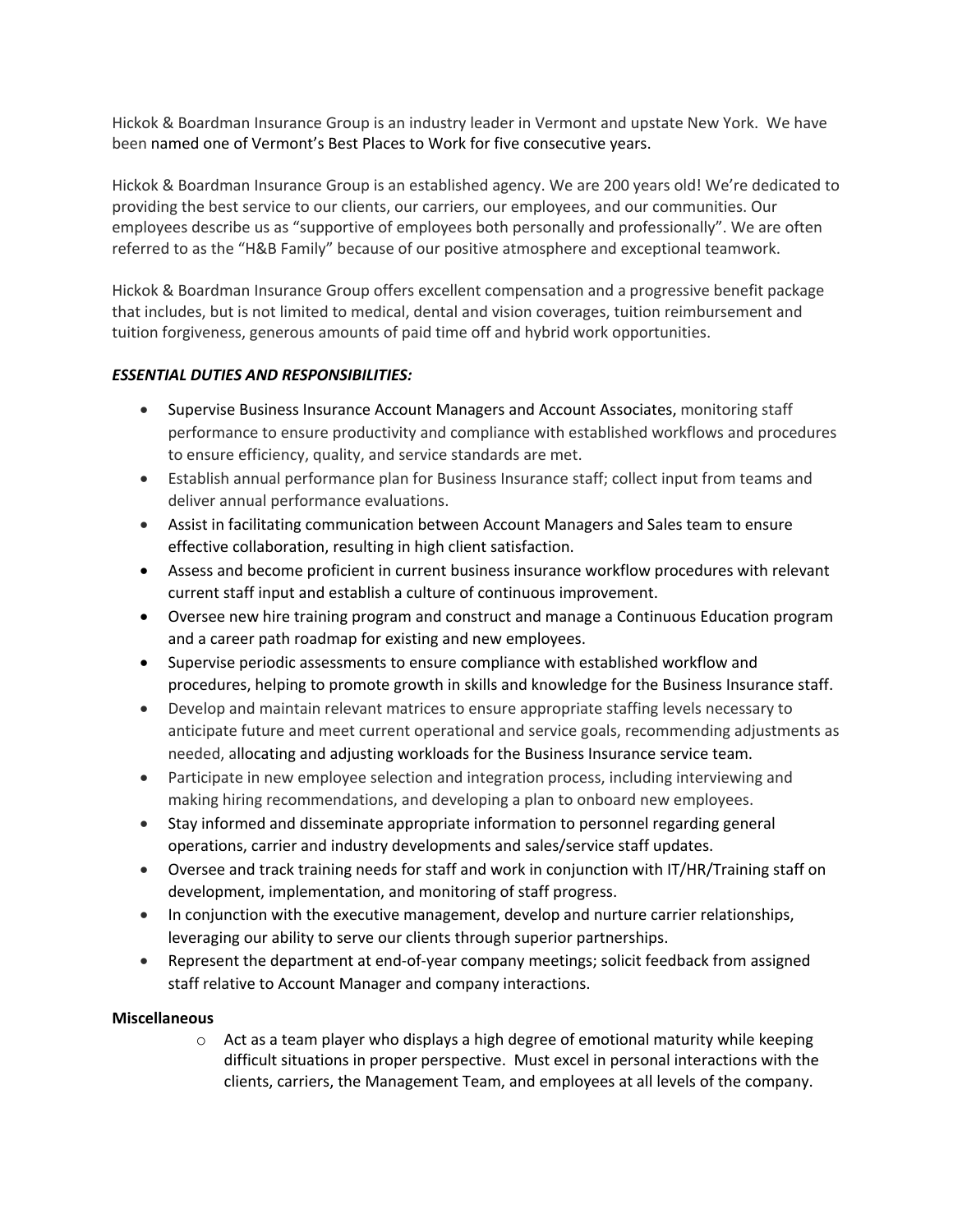Hickok & Boardman Insurance Group is an industry leader in Vermont and upstate New York. We have been named one of Vermont's Best Places to Work for five consecutive years.

Hickok & Boardman Insurance Group is an established agency. We are 200 years old! We're dedicated to providing the best service to our clients, our carriers, our employees, and our communities. Our employees describe us as "supportive of employees both personally and professionally". We are often referred to as the "H&B Family" because of our positive atmosphere and exceptional teamwork.

Hickok & Boardman Insurance Group offers excellent compensation and a progressive benefit package that includes, but is not limited to medical, dental and vision coverages, tuition reimbursement and tuition forgiveness, generous amounts of paid time off and hybrid work opportunities.

## *ESSENTIAL DUTIES AND RESPONSIBILITIES:*

- Supervise Business Insurance Account Managers and Account Associates, monitoring staff performance to ensure productivity and compliance with established workflows and procedures to ensure efficiency, quality, and service standards are met.
- Establish annual performance plan for Business Insurance staff; collect input from teams and deliver annual performance evaluations.
- Assist in facilitating communication between Account Managers and Sales team to ensure effective collaboration, resulting in high client satisfaction.
- Assess and become proficient in current business insurance workflow procedures with relevant current staff input and establish a culture of continuous improvement.
- Oversee new hire training program and construct and manage a Continuous Education program and a career path roadmap for existing and new employees.
- Supervise periodic assessments to ensure compliance with established workflow and procedures, helping to promote growth in skills and knowledge for the Business Insurance staff.
- Develop and maintain relevant matrices to ensure appropriate staffing levels necessary to anticipate future and meet current operational and service goals, recommending adjustments as needed, allocating and adjusting workloads for the Business Insurance service team.
- Participate in new employee selection and integration process, including interviewing and making hiring recommendations, and developing a plan to onboard new employees.
- Stay informed and disseminate appropriate information to personnel regarding general operations, carrier and industry developments and sales/service staff updates.
- Oversee and track training needs for staff and work in conjunction with IT/HR/Training staff on development, implementation, and monitoring of staff progress.
- In conjunction with the executive management, develop and nurture carrier relationships, leveraging our ability to serve our clients through superior partnerships.
- Represent the department at end-of-year company meetings; solicit feedback from assigned staff relative to Account Manager and company interactions.

## **Miscellaneous**

 $\circ$  Act as a team player who displays a high degree of emotional maturity while keeping difficult situations in proper perspective. Must excel in personal interactions with the clients, carriers, the Management Team, and employees at all levels of the company.